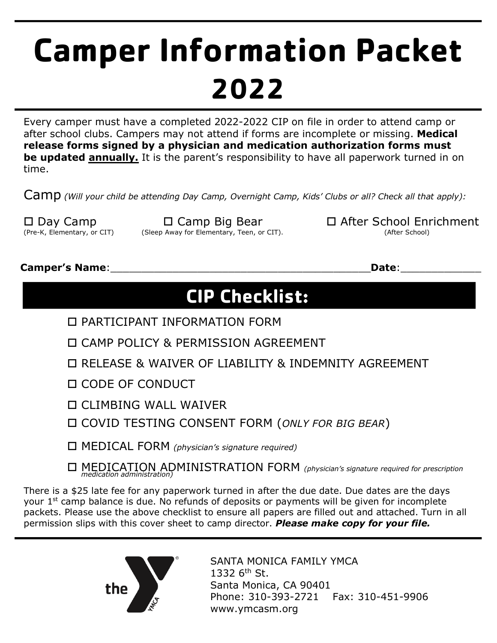# **Camper Information Packet 2022**

Every camper must have a completed 2022-2022 CIP on file in order to attend camp or after school clubs. Campers may not attend if forms are incomplete or missing. **Medical release forms signed by a physician and medication authorization forms must be updated annually.** It is the parent's responsibility to have all paperwork turned in on time.

Camp *(Will your child be attending Day Camp, Overnight Camp, Kids' Clubs or all? Check all that apply):*

(Sleep Away for Elementary, Teen, or CIT).

 $\square$  Day Camp  $\square$  Camp Big Bear  $\square$  After School Enrichment (Pre-K, Elementary, or CIT) (After School)

## **Camper's Name**:\_\_\_\_\_\_\_\_\_\_\_\_\_\_\_\_\_\_\_\_\_\_\_\_\_\_\_\_\_\_\_\_\_\_\_\_\_\_\_\_\_\_**Date**:\_\_\_\_\_\_\_\_\_\_\_\_\_

## **CIP Checklist:**

- o PARTICIPANT INFORMATION FORM
- o CAMP POLICY & PERMISSION AGREEMENT
- o RELEASE & WAIVER OF LIABILITY & INDEMNITY AGREEMENT
- o CODE OF CONDUCT
- $\Box$  CLIMBING WALL WAIVER
- o COVID TESTING CONSENT FORM (*ONLY FOR BIG BEAR*)
- o MEDICAL FORM *(physician's signature required)*
- o MEDICATION ADMINISTRATION FORM *(physician's signature required for prescription medication administration)*

There is a \$25 late fee for any paperwork turned in after the due date. Due dates are the days your 1<sup>st</sup> camp balance is due. No refunds of deposits or payments will be given for incomplete packets. Please use the above checklist to ensure all papers are filled out and attached. Turn in all permission slips with this cover sheet to camp director. *Please make copy for your file.*



SANTA MONICA FAMILY YMCA 1332  $6<sup>th</sup>$  St. Santa Monica, CA 90401 Phone: 310-393-2721 Fax: 310-451-9906 www.ymcasm.org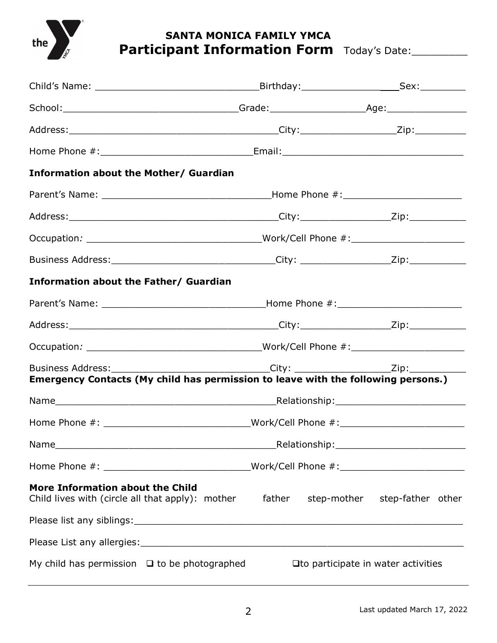

## **SANTA MONICA FAMILY YMCA** Participant Information Form Today's Date:

| <b>Information about the Mother/ Guardian</b>                                        |        |                                                                                                                                                                                            |  |
|--------------------------------------------------------------------------------------|--------|--------------------------------------------------------------------------------------------------------------------------------------------------------------------------------------------|--|
|                                                                                      |        |                                                                                                                                                                                            |  |
|                                                                                      |        |                                                                                                                                                                                            |  |
|                                                                                      |        |                                                                                                                                                                                            |  |
|                                                                                      |        | Business Address: ________________________________City: __________________Zip: _____________________                                                                                       |  |
| <b>Information about the Father/ Guardian</b>                                        |        |                                                                                                                                                                                            |  |
|                                                                                      |        |                                                                                                                                                                                            |  |
|                                                                                      |        |                                                                                                                                                                                            |  |
|                                                                                      |        |                                                                                                                                                                                            |  |
|                                                                                      |        | Business Address: ______________________________City: ________________________Zip: __________________<br>Emergency Contacts (My child has permission to leave with the following persons.) |  |
|                                                                                      |        |                                                                                                                                                                                            |  |
|                                                                                      |        | Home Phone #: __________________________________Work/Cell Phone #: _________________________________                                                                                       |  |
|                                                                                      |        |                                                                                                                                                                                            |  |
|                                                                                      |        | Home Phone #: __________________________________Work/Cell Phone #: _________________________________                                                                                       |  |
| More Information about the Child<br>Child lives with (circle all that apply): mother | father | step-mother step-father other                                                                                                                                                              |  |
|                                                                                      |        |                                                                                                                                                                                            |  |
|                                                                                      |        |                                                                                                                                                                                            |  |
| My child has permission $\Box$ to be photographed                                    |        | □ to participate in water activities                                                                                                                                                       |  |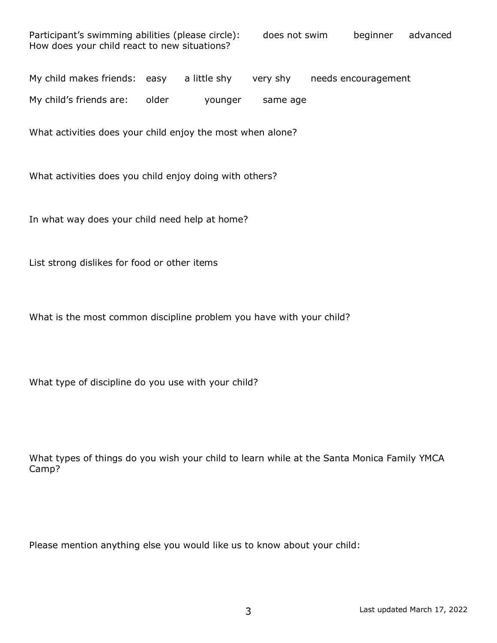| Participant's swimming abilities (please circle): | does not swim | beginner | advanced |
|---------------------------------------------------|---------------|----------|----------|
| How does your child react to new situations?      |               |          |          |

My child makes friends: easy a little shy very shy needs encouragement

My child's friends are: older younger same age

What activities does your child enjoy the most when alone?

What activities does you child enjoy doing with others?

In what way does your child need help at home?

List strong dislikes for food or other items

What is the most common discipline problem you have with your child?

What type of discipline do you use with your child?

What types of things do you wish your child to learn while at the Santa Monica Family YMCA Camp?

Please mention anything else you would like us to know about your child: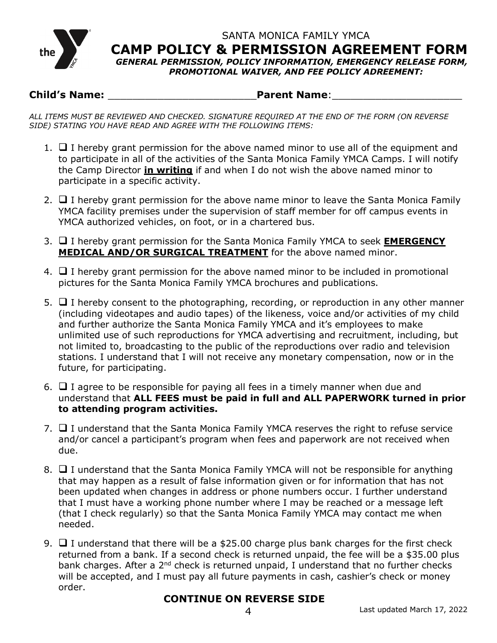

SANTA MONICA FAMILY YMCA **CAMP POLICY & PERMISSION AGREEMENT FORM**

*GENERAL PERMISSION, POLICY INFORMATION, EMERGENCY RELEASE FORM, PROMOTIONAL WAIVER, AND FEE POLICY ADREEMENT:*

## **Child's Name:** \_\_\_\_\_\_\_\_\_\_\_\_\_\_\_\_\_\_\_\_\_\_\_\_**Parent Name**:\_\_\_\_\_\_\_\_\_\_\_\_\_\_\_\_\_\_\_\_\_

*ALL ITEMS MUST BE REVIEWED AND CHECKED. SIGNATURE REQUIRED AT THE END OF THE FORM (ON REVERSE SIDE) STATING YOU HAVE READ AND AGREE WITH THE FOLLOWING ITEMS:*

- 1.  $\Box$  I hereby grant permission for the above named minor to use all of the equipment and to participate in all of the activities of the Santa Monica Family YMCA Camps. I will notify the Camp Director **in writing** if and when I do not wish the above named minor to participate in a specific activity.
- 2.  $\Box$  I hereby grant permission for the above name minor to leave the Santa Monica Family YMCA facility premises under the supervision of staff member for off campus events in YMCA authorized vehicles, on foot, or in a chartered bus.
- 3. **Q** I hereby grant permission for the Santa Monica Family YMCA to seek **EMERGENCY MEDICAL AND/OR SURGICAL TREATMENT** for the above named minor.
- 4.  $\Box$  I hereby grant permission for the above named minor to be included in promotional pictures for the Santa Monica Family YMCA brochures and publications.
- 5.  $\Box$  I hereby consent to the photographing, recording, or reproduction in any other manner (including videotapes and audio tapes) of the likeness, voice and/or activities of my child and further authorize the Santa Monica Family YMCA and it's employees to make unlimited use of such reproductions for YMCA advertising and recruitment, including, but not limited to, broadcasting to the public of the reproductions over radio and television stations. I understand that I will not receive any monetary compensation, now or in the future, for participating.
- 6.  $\Box$  I agree to be responsible for paying all fees in a timely manner when due and understand that **ALL FEES must be paid in full and ALL PAPERWORK turned in prior to attending program activities.**
- 7.  $\Box$  I understand that the Santa Monica Family YMCA reserves the right to refuse service and/or cancel a participant's program when fees and paperwork are not received when due.
- 8.  $\Box$  I understand that the Santa Monica Family YMCA will not be responsible for anything that may happen as a result of false information given or for information that has not been updated when changes in address or phone numbers occur. I further understand that I must have a working phone number where I may be reached or a message left (that I check regularly) so that the Santa Monica Family YMCA may contact me when needed.
- 9.  $\Box$  I understand that there will be a \$25.00 charge plus bank charges for the first check returned from a bank. If a second check is returned unpaid, the fee will be a \$35.00 plus bank charges. After a 2<sup>nd</sup> check is returned unpaid, I understand that no further checks will be accepted, and I must pay all future payments in cash, cashier's check or money order.

## **CONTINUE ON REVERSE SIDE**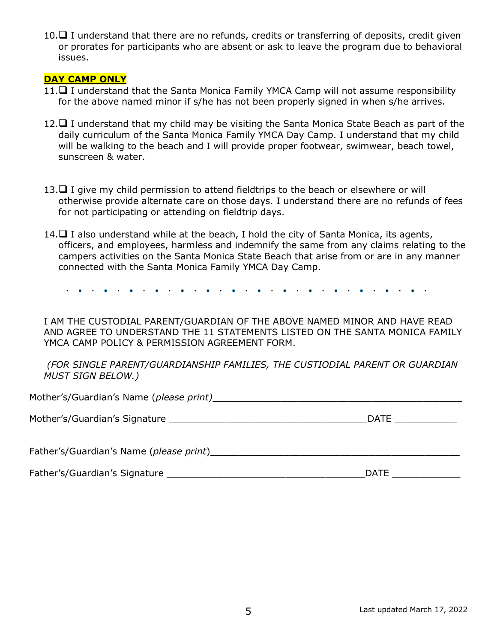10. $\Box$  I understand that there are no refunds, credits or transferring of deposits, credit given or prorates for participants who are absent or ask to leave the program due to behavioral issues.

#### **DAY CAMP ONLY**

- $11.\Box$  I understand that the Santa Monica Family YMCA Camp will not assume responsibility for the above named minor if s/he has not been properly signed in when s/he arrives.
- 12.  $\Box$  I understand that my child may be visiting the Santa Monica State Beach as part of the daily curriculum of the Santa Monica Family YMCA Day Camp. I understand that my child will be walking to the beach and I will provide proper footwear, swimwear, beach towel, sunscreen & water.
- 13. $\Box$  I give my child permission to attend fieldtrips to the beach or elsewhere or will otherwise provide alternate care on those days. I understand there are no refunds of fees for not participating or attending on fieldtrip days.
- 14.  $\Box$  I also understand while at the beach, I hold the city of Santa Monica, its agents, officers, and employees, harmless and indemnify the same from any claims relating to the campers activities on the Santa Monica State Beach that arise from or are in any manner connected with the Santa Monica Family YMCA Day Camp.

 $\mathbf{r} = \mathbf{r} \times \mathbf{r}$  $\mathbf{r} = \mathbf{r} \times \mathbf{r}$ 

I AM THE CUSTODIAL PARENT/GUARDIAN OF THE ABOVE NAMED MINOR AND HAVE READ AND AGREE TO UNDERSTAND THE 11 STATEMENTS LISTED ON THE SANTA MONICA FAMILY YMCA CAMP POLICY & PERMISSION AGREEMENT FORM.

*(FOR SINGLE PARENT/GUARDIANSHIP FAMILIES, THE CUSTIODIAL PARENT OR GUARDIAN MUST SIGN BELOW.)*

| Mother's/Guardian's Name (please print) |             |
|-----------------------------------------|-------------|
|                                         |             |
| Mother's/Guardian's Signature           | <b>DATE</b> |
|                                         |             |
| Father's/Guardian's Name (please print) |             |

| Father's/Guardian's Signature | )AT |  |
|-------------------------------|-----|--|
|                               |     |  |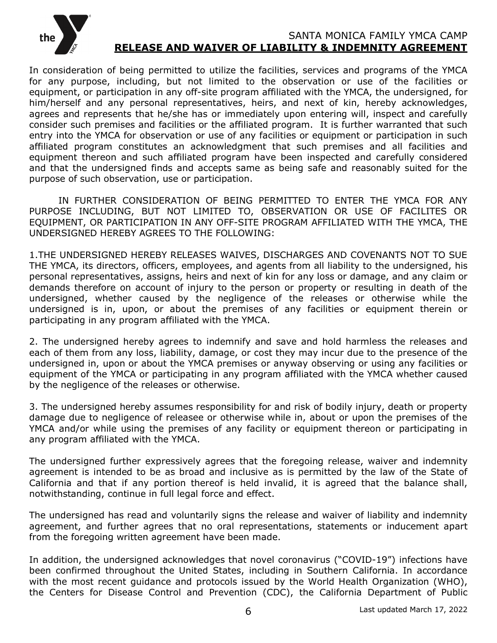

#### SANTA MONICA FAMILY YMCA CAMP **RELEASE AND WAIVER OF LIABILITY & INDEMNITY AGREEMENT**

In consideration of being permitted to utilize the facilities, services and programs of the YMCA for any purpose, including, but not limited to the observation or use of the facilities or equipment, or participation in any off-site program affiliated with the YMCA, the undersigned, for him/herself and any personal representatives, heirs, and next of kin, hereby acknowledges, agrees and represents that he/she has or immediately upon entering will, inspect and carefully consider such premises and facilities or the affiliated program. It is further warranted that such entry into the YMCA for observation or use of any facilities or equipment or participation in such affiliated program constitutes an acknowledgment that such premises and all facilities and equipment thereon and such affiliated program have been inspected and carefully considered and that the undersigned finds and accepts same as being safe and reasonably suited for the purpose of such observation, use or participation.

IN FURTHER CONSIDERATION OF BEING PERMITTED TO ENTER THE YMCA FOR ANY PURPOSE INCLUDING, BUT NOT LIMITED TO, OBSERVATION OR USE OF FACILITES OR EQUIPMENT, OR PARTICIPATION IN ANY OFF-SITE PROGRAM AFFILIATED WITH THE YMCA, THE UNDERSIGNED HEREBY AGREES TO THE FOLLOWING:

1.THE UNDERSIGNED HEREBY RELEASES WAIVES, DISCHARGES AND COVENANTS NOT TO SUE THE YMCA, its directors, officers, employees, and agents from all liability to the undersigned, his personal representatives, assigns, heirs and next of kin for any loss or damage, and any claim or demands therefore on account of injury to the person or property or resulting in death of the undersigned, whether caused by the negligence of the releases or otherwise while the undersigned is in, upon, or about the premises of any facilities or equipment therein or participating in any program affiliated with the YMCA.

2. The undersigned hereby agrees to indemnify and save and hold harmless the releases and each of them from any loss, liability, damage, or cost they may incur due to the presence of the undersigned in, upon or about the YMCA premises or anyway observing or using any facilities or equipment of the YMCA or participating in any program affiliated with the YMCA whether caused by the negligence of the releases or otherwise.

3. The undersigned hereby assumes responsibility for and risk of bodily injury, death or property damage due to negligence of releasee or otherwise while in, about or upon the premises of the YMCA and/or while using the premises of any facility or equipment thereon or participating in any program affiliated with the YMCA.

The undersigned further expressively agrees that the foregoing release, waiver and indemnity agreement is intended to be as broad and inclusive as is permitted by the law of the State of California and that if any portion thereof is held invalid, it is agreed that the balance shall, notwithstanding, continue in full legal force and effect.

The undersigned has read and voluntarily signs the release and waiver of liability and indemnity agreement, and further agrees that no oral representations, statements or inducement apart from the foregoing written agreement have been made.

In addition, the undersigned acknowledges that novel coronavirus ("COVID-19") infections have been confirmed throughout the United States, including in Southern California. In accordance with the most recent guidance and protocols issued by the World Health Organization (WHO), the Centers for Disease Control and Prevention (CDC), the California Department of Public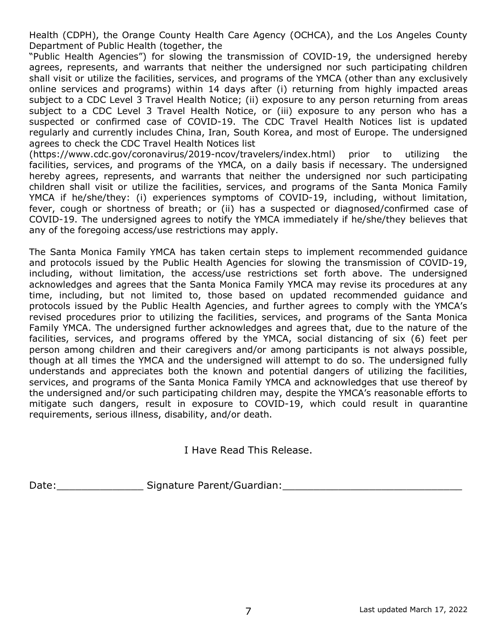Health (CDPH), the Orange County Health Care Agency (OCHCA), and the Los Angeles County Department of Public Health (together, the

"Public Health Agencies") for slowing the transmission of COVID-19, the undersigned hereby agrees, represents, and warrants that neither the undersigned nor such participating children shall visit or utilize the facilities, services, and programs of the YMCA (other than any exclusively online services and programs) within 14 days after (i) returning from highly impacted areas subject to a CDC Level 3 Travel Health Notice; (ii) exposure to any person returning from areas subject to a CDC Level 3 Travel Health Notice, or (iii) exposure to any person who has a suspected or confirmed case of COVID-19. The CDC Travel Health Notices list is updated regularly and currently includes China, Iran, South Korea, and most of Europe. The undersigned agrees to check the CDC Travel Health Notices list

(https://www.cdc.gov/coronavirus/2019-ncov/travelers/index.html) prior to utilizing the facilities, services, and programs of the YMCA, on a daily basis if necessary. The undersigned hereby agrees, represents, and warrants that neither the undersigned nor such participating children shall visit or utilize the facilities, services, and programs of the Santa Monica Family YMCA if he/she/they: (i) experiences symptoms of COVID-19, including, without limitation, fever, cough or shortness of breath; or (ii) has a suspected or diagnosed/confirmed case of COVID-19. The undersigned agrees to notify the YMCA immediately if he/she/they believes that any of the foregoing access/use restrictions may apply.

The Santa Monica Family YMCA has taken certain steps to implement recommended guidance and protocols issued by the Public Health Agencies for slowing the transmission of COVID-19, including, without limitation, the access/use restrictions set forth above. The undersigned acknowledges and agrees that the Santa Monica Family YMCA may revise its procedures at any time, including, but not limited to, those based on updated recommended guidance and protocols issued by the Public Health Agencies, and further agrees to comply with the YMCA's revised procedures prior to utilizing the facilities, services, and programs of the Santa Monica Family YMCA. The undersigned further acknowledges and agrees that, due to the nature of the facilities, services, and programs offered by the YMCA, social distancing of six (6) feet per person among children and their caregivers and/or among participants is not always possible, though at all times the YMCA and the undersigned will attempt to do so. The undersigned fully understands and appreciates both the known and potential dangers of utilizing the facilities, services, and programs of the Santa Monica Family YMCA and acknowledges that use thereof by the undersigned and/or such participating children may, despite the YMCA's reasonable efforts to mitigate such dangers, result in exposure to COVID-19, which could result in quarantine requirements, serious illness, disability, and/or death.

I Have Read This Release.

Date: etc. Signature Parent/Guardian: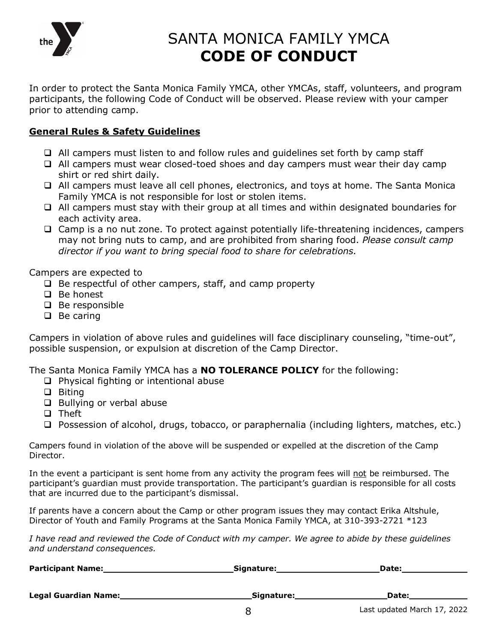

## SANTA MONICA FAMILY YMCA **CODE OF CONDUCT**

In order to protect the Santa Monica Family YMCA, other YMCAs, staff, volunteers, and program participants, the following Code of Conduct will be observed. Please review with your camper prior to attending camp.

#### **General Rules & Safety Guidelines**

- $\Box$  All campers must listen to and follow rules and quidelines set forth by camp staff
- $\Box$  All campers must wear closed-toed shoes and day campers must wear their day camp shirt or red shirt daily.
- q All campers must leave all cell phones, electronics, and toys at home. The Santa Monica Family YMCA is not responsible for lost or stolen items.
- $\Box$  All campers must stay with their group at all times and within designated boundaries for each activity area.
- $\Box$  Camp is a no nut zone. To protect against potentially life-threatening incidences, campers may not bring nuts to camp, and are prohibited from sharing food. *Please consult camp director if you want to bring special food to share for celebrations.*

Campers are expected to

- $\Box$  Be respectful of other campers, staff, and camp property
- $\Box$  Be honest
- $\Box$  Be responsible
- $\Box$  Be caring

Campers in violation of above rules and guidelines will face disciplinary counseling, "time-out", possible suspension, or expulsion at discretion of the Camp Director.

The Santa Monica Family YMCA has a **NO TOLERANCE POLICY** for the following:

- $\Box$  Physical fighting or intentional abuse
- $\Box$  Biting
- □ Bullying or verbal abuse
- q Theft

 $\Box$  Possession of alcohol, drugs, tobacco, or paraphernalia (including lighters, matches, etc.)

Campers found in violation of the above will be suspended or expelled at the discretion of the Camp Director.

In the event a participant is sent home from any activity the program fees will not be reimbursed. The participant's guardian must provide transportation. The participant's guardian is responsible for all costs that are incurred due to the participant's dismissal.

If parents have a concern about the Camp or other program issues they may contact Erika Altshule, Director of Youth and Family Programs at the Santa Monica Family YMCA, at 310-393-2721 \*123

*I have read and reviewed the Code of Conduct with my camper. We agree to abide by these guidelines and understand consequences.*

| <b>Participant Name:</b> | Signature: | Date: |
|--------------------------|------------|-------|
|                          |            |       |
| Legal Guardian Name:     | Signature: | Date: |
|                          |            |       |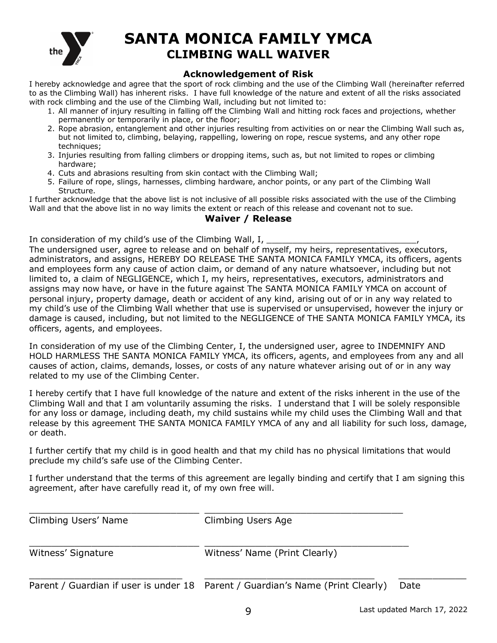

## **SANTA MONICA FAMILY YMCA CLIMBING WALL WAIVER**

#### **Acknowledgement of Risk**

I hereby acknowledge and agree that the sport of rock climbing and the use of the Climbing Wall (hereinafter referred to as the Climbing Wall) has inherent risks. I have full knowledge of the nature and extent of all the risks associated with rock climbing and the use of the Climbing Wall, including but not limited to:

- 1. All manner of injury resulting in falling off the Climbing Wall and hitting rock faces and projections, whether permanently or temporarily in place, or the floor;
- 2. Rope abrasion, entanglement and other injuries resulting from activities on or near the Climbing Wall such as, but not limited to, climbing, belaying, rappelling, lowering on rope, rescue systems, and any other rope techniques;
- 3. Injuries resulting from falling climbers or dropping items, such as, but not limited to ropes or climbing hardware;
- 4. Cuts and abrasions resulting from skin contact with the Climbing Wall;
- 5. Failure of rope, slings, harnesses, climbing hardware, anchor points, or any part of the Climbing Wall Structure.

I further acknowledge that the above list is not inclusive of all possible risks associated with the use of the Climbing Wall and that the above list in no way limits the extent or reach of this release and covenant not to sue.

#### **Waiver / Release**

In consideration of my child's use of the Climbing Wall, I,

The undersigned user, agree to release and on behalf of myself, my heirs, representatives, executors, administrators, and assigns, HEREBY DO RELEASE THE SANTA MONICA FAMILY YMCA, its officers, agents and employees form any cause of action claim, or demand of any nature whatsoever, including but not limited to, a claim of NEGLIGENCE, which I, my heirs, representatives, executors, administrators and assigns may now have, or have in the future against The SANTA MONICA FAMILY YMCA on account of personal injury, property damage, death or accident of any kind, arising out of or in any way related to my child's use of the Climbing Wall whether that use is supervised or unsupervised, however the injury or damage is caused, including, but not limited to the NEGLIGENCE of THE SANTA MONICA FAMILY YMCA, its officers, agents, and employees.

In consideration of my use of the Climbing Center, I, the undersigned user, agree to INDEMNIFY AND HOLD HARMLESS THE SANTA MONICA FAMILY YMCA, its officers, agents, and employees from any and all causes of action, claims, demands, losses, or costs of any nature whatever arising out of or in any way related to my use of the Climbing Center.

I hereby certify that I have full knowledge of the nature and extent of the risks inherent in the use of the Climbing Wall and that I am voluntarily assuming the risks. I understand that I will be solely responsible for any loss or damage, including death, my child sustains while my child uses the Climbing Wall and that release by this agreement THE SANTA MONICA FAMILY YMCA of any and all liability for such loss, damage, or death.

I further certify that my child is in good health and that my child has no physical limitations that would preclude my child's safe use of the Climbing Center.

I further understand that the terms of this agreement are legally binding and certify that I am signing this agreement, after have carefully read it, of my own free will.

| Climbing Users' Name | Climbing Users Age                                                             |      |
|----------------------|--------------------------------------------------------------------------------|------|
| Witness' Signature   | Witness' Name (Print Clearly)                                                  |      |
|                      | Parent / Guardian if user is under 18 Parent / Guardian's Name (Print Clearly) | Date |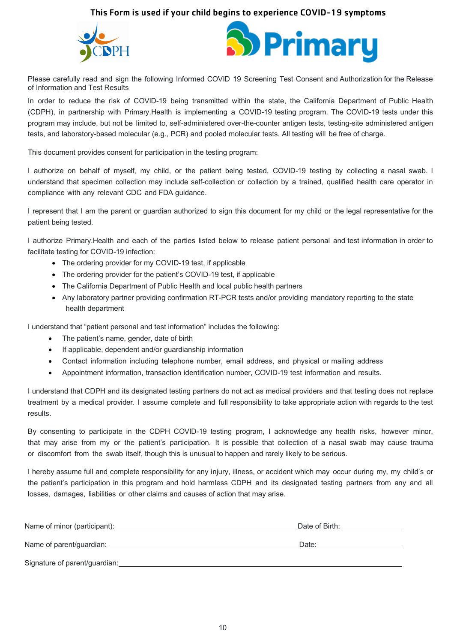#### This Form is used if your child begins to experience COVID-19 symptoms





Please carefully read and sign the following Informed COVID 19 Screening Test Consent and Authorization for the Release of Information and Test Results

In order to reduce the risk of COVID-19 being transmitted within the state, the California Department of Public Health (CDPH), in partnership with Primary.Health is implementing a COVID-19 testing program. The COVID-19 tests under this program may include, but not be limited to, self-administered over-the-counter antigen tests, testing-site administered antigen tests, and laboratory-based molecular (e.g., PCR) and pooled molecular tests. All testing will be free of charge.

This document provides consent for participation in the testing program:

I authorize on behalf of myself, my child, or the patient being tested, COVID-19 testing by collecting a nasal swab. I understand that specimen collection may include self-collection or collection by a trained, qualified health care operator in compliance with any relevant CDC and FDA guidance.

I represent that I am the parent or guardian authorized to sign this document for my child or the legal representative for the patient being tested.

I authorize Primary.Health and each of the parties listed below to release patient personal and test information in order to facilitate testing for COVID-19 infection:

- The ordering provider for my COVID-19 test, if applicable
- The ordering provider for the patient's COVID-19 test, if applicable
- The California Department of Public Health and local public health partners
- Any laboratory partner providing confirmation RT-PCR tests and/or providing mandatory reporting to the state health department

I understand that "patient personal and test information" includes the following:

- The patient's name, gender, date of birth
- If applicable, dependent and/or guardianship information
- Contact information including telephone number, email address, and physical or mailing address
- Appointment information, transaction identification number, COVID-19 test information and results.

I understand that CDPH and its designated testing partners do not act as medical providers and that testing does not replace treatment by a medical provider. I assume complete and full responsibility to take appropriate action with regards to the test results.

By consenting to participate in the CDPH COVID-19 testing program, I acknowledge any health risks, however minor, that may arise from my or the patient's participation. It is possible that collection of a nasal swab may cause trauma or discomfort from the swab itself, though this is unusual to happen and rarely likely to be serious.

I hereby assume full and complete responsibility for any injury, illness, or accident which may occur during my, my child's or the patient's participation in this program and hold harmless CDPH and its designated testing partners from any and all losses, damages, liabilities or other claims and causes of action that may arise.

| Name of minor (participant):  | Date of Birth: |
|-------------------------------|----------------|
| Name of parent/guardian:      | Date:          |
| Signature of parent/guardian: |                |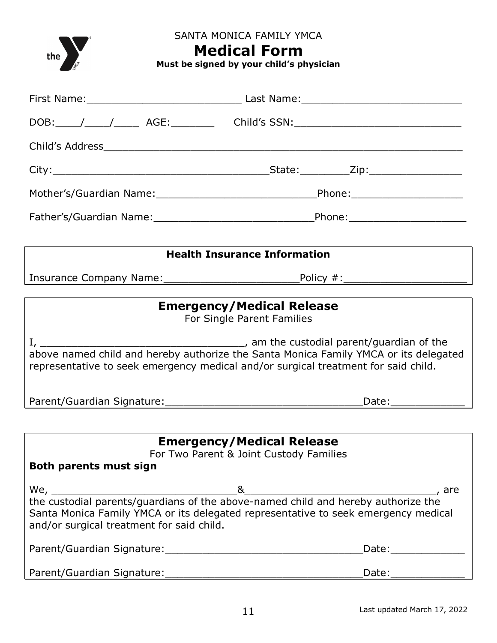the  $\sum_{\mathcal{E}}$ 

SANTA MONICA FAMILY YMCA

## **Medical Form**

**Must be signed by your child's physician**

|                                                  | <b>Health Insurance Information</b>                                                                                                                                                   |
|--------------------------------------------------|---------------------------------------------------------------------------------------------------------------------------------------------------------------------------------------|
|                                                  |                                                                                                                                                                                       |
|                                                  |                                                                                                                                                                                       |
|                                                  | <b>Emergency/Medical Release</b>                                                                                                                                                      |
|                                                  | For Single Parent Families                                                                                                                                                            |
|                                                  | representative to seek emergency medical and/or surgical treatment for said child.                                                                                                    |
|                                                  | _Date:_________________                                                                                                                                                               |
|                                                  |                                                                                                                                                                                       |
| <b>Both parents must sign</b>                    | <b>Emergency/Medical Release</b><br>For Two Parent & Joint Custody Families                                                                                                           |
| We,<br>and/or surgical treatment for said child. | 8<br>, are<br>the custodial parents/guardians of the above-named child and hereby authorize the<br>Santa Monica Family YMCA or its delegated representative to seek emergency medical |
|                                                  | Date:_______________                                                                                                                                                                  |
|                                                  | Date:______________                                                                                                                                                                   |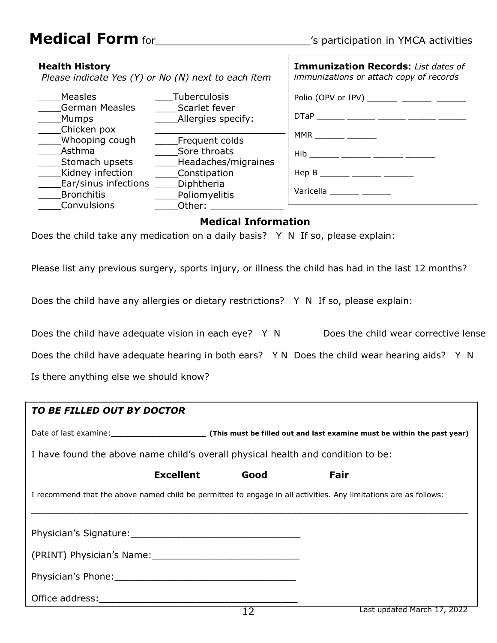## **Medical Form** for\_\_\_\_\_\_\_\_\_\_\_\_\_\_\_\_\_\_\_\_\_\_\_\_\_'s participation in YMCA activities

| <b>Health History</b><br>Please indicate Yes (Y) or No (N) next to each item |                                                       | Immunization Records: List dates of<br>immunizations or attach copy of records |
|------------------------------------------------------------------------------|-------------------------------------------------------|--------------------------------------------------------------------------------|
| <b>Measles</b>                                                               | Tuberculosis                                          | Polio (OPV or IPV) ________ ________ _______                                   |
| <b>German Measles</b><br>Mumps                                               | Scarlet fever<br>Allergies specify:                   | $DTaP$ ______ _____ ______ ______ _____                                        |
| Chicken pox<br>Whooping cough                                                |                                                       | $MMR$ ________ _______                                                         |
| Asthma<br>Stomach upsets                                                     | Frequent colds<br>Sore throats<br>Headaches/migraines | $Hib$ ___ ____ _____ _____ ____                                                |
| Kidney infection                                                             | Constipation                                          | $\mathsf{Hep}\;\mathsf{B}$ ______ ______ ______                                |
| Ear/sinus infections<br><b>Bronchitis</b><br>Convulsions                     | Diphtheria<br>Poliomyelitis<br>Other:                 | Varicella ______ ___                                                           |

 $\Gamma$ 

#### **Medical Information**

Does the child take any medication on a daily basis? Y N If so, please explain:

Please list any previous surgery, sports injury, or illness the child has had in the last 12 months?

Does the child have any allergies or dietary restrictions? Y N If so, please explain:

| Does the child have adequate vision in each eye? Y N | Does the child wear corrective lense |
|------------------------------------------------------|--------------------------------------|
|                                                      |                                      |

Does the child have adequate hearing in both ears? Y N Does the child wear hearing aids? Y N

Is there anything else we should know?

| TO BE FILLED OUT BY DOCTOR                                                                                       |                 |                             |
|------------------------------------------------------------------------------------------------------------------|-----------------|-----------------------------|
|                                                                                                                  |                 |                             |
| I have found the above name child's overall physical health and condition to be:                                 |                 |                             |
| <b>Excellent</b>                                                                                                 | Good            | Fair                        |
| I recommend that the above named child be permitted to engage in all activities. Any limitations are as follows: |                 |                             |
|                                                                                                                  |                 |                             |
|                                                                                                                  |                 |                             |
| (PRINT) Physician's Name:                                                                                        |                 |                             |
|                                                                                                                  |                 |                             |
|                                                                                                                  |                 |                             |
|                                                                                                                  | $\lnot$ $\lnot$ | Last undated March 17, 2022 |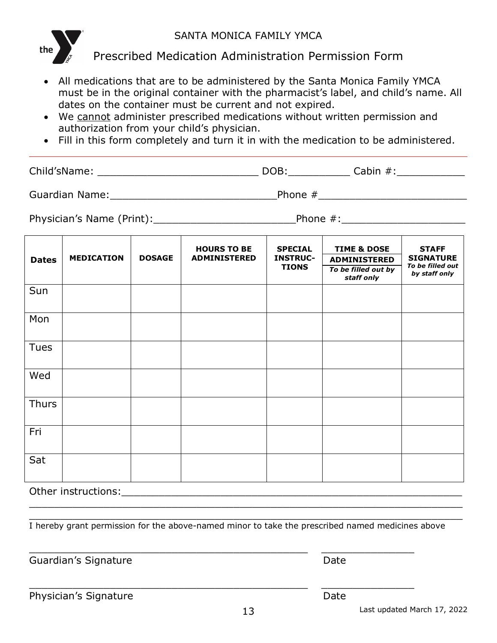### SANTA MONICA FAMILY YMCA



Prescribed Medication Administration Permission Form

- All medications that are to be administered by the Santa Monica Family YMCA must be in the original container with the pharmacist's label, and child's name. All dates on the container must be current and not expired.
- We cannot administer prescribed medications without written permission and authorization from your child's physician.
- Fill in this form completely and turn it in with the medication to be administered.

Child'sName: \_\_\_\_\_\_\_\_\_\_\_\_\_\_\_\_\_\_\_\_\_\_\_\_\_\_ DOB:\_\_\_\_\_\_\_\_\_\_ Cabin #:\_\_\_\_\_\_\_\_\_\_\_

Guardian Name:\_\_\_\_\_\_\_\_\_\_\_\_\_\_\_\_\_\_\_\_\_\_\_\_\_\_\_Phone #\_\_\_\_\_\_\_\_\_\_\_\_\_\_\_\_\_\_\_\_\_\_\_\_

Physician's Name (Print):\_\_\_\_\_\_\_\_\_\_\_\_\_\_\_\_\_\_\_\_\_\_\_Phone #:\_\_\_\_\_\_\_\_\_\_\_\_\_\_\_\_\_\_\_\_

| <b>Dates</b> | <b>MEDICATION</b> | <b>DOSAGE</b> | <b>HOURS TO BE</b><br><b>ADMINISTERED</b> | <b>SPECIAL</b><br><b>INSTRUC-</b><br><b>TIONS</b> | <b>TIME &amp; DOSE</b><br><b>ADMINISTERED</b><br>To be filled out by<br>staff only | <b>STAFF</b><br><b>SIGNATURE</b><br>To be filled out<br>by staff only |
|--------------|-------------------|---------------|-------------------------------------------|---------------------------------------------------|------------------------------------------------------------------------------------|-----------------------------------------------------------------------|
| Sun          |                   |               |                                           |                                                   |                                                                                    |                                                                       |
| Mon          |                   |               |                                           |                                                   |                                                                                    |                                                                       |
| <b>Tues</b>  |                   |               |                                           |                                                   |                                                                                    |                                                                       |
| Wed          |                   |               |                                           |                                                   |                                                                                    |                                                                       |
| <b>Thurs</b> |                   |               |                                           |                                                   |                                                                                    |                                                                       |
| Fri          |                   |               |                                           |                                                   |                                                                                    |                                                                       |
| Sat          |                   |               |                                           |                                                   |                                                                                    |                                                                       |

Other instructions: which is a set of the set of the set of the set of the set of the set of the set of the set of the set of the set of the set of the set of the set of the set of the set of the set of the set of the set

I hereby grant permission for the above-named minor to take the prescribed named medicines above

\_\_\_\_\_\_\_\_\_\_\_\_\_\_\_\_\_\_\_\_\_\_\_\_\_\_\_\_\_\_\_\_\_\_\_\_\_\_\_\_\_\_\_\_\_ \_\_\_\_\_\_\_\_\_\_\_\_\_\_\_

\_\_\_\_\_\_\_\_\_\_\_\_\_\_\_\_\_\_\_\_\_\_\_\_\_\_\_\_\_\_\_\_\_\_\_\_\_\_\_\_\_\_\_\_\_ \_\_\_\_\_\_\_\_\_\_\_\_\_\_\_

\_\_\_\_\_\_\_\_\_\_\_\_\_\_\_\_\_\_\_\_\_\_\_\_\_\_\_\_\_\_\_\_\_\_\_\_\_\_\_\_\_\_\_\_\_\_\_\_\_\_\_\_\_\_\_\_\_\_\_\_\_\_\_\_\_\_\_\_\_\_ \_\_\_\_\_\_\_\_\_\_\_\_\_\_\_\_\_\_\_\_\_\_\_\_\_\_\_\_\_\_\_\_\_\_\_\_\_\_\_\_\_\_\_\_\_\_\_\_\_\_\_\_\_\_\_\_\_\_\_\_\_\_\_\_\_\_\_\_\_\_

Guardian's Signature **Date** Date **Date** 

Physician's Signature Date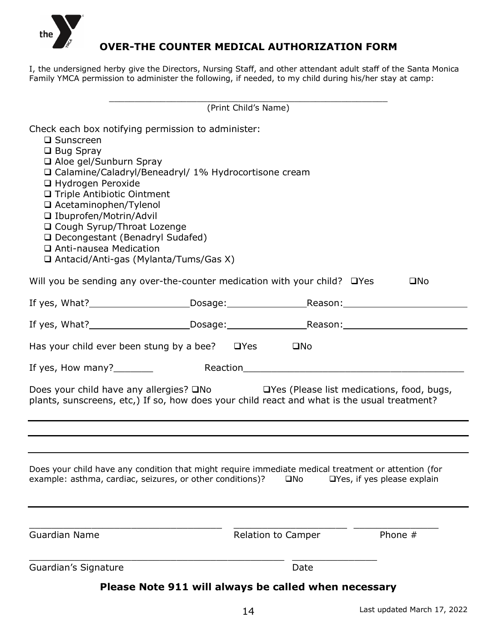

## **OVER-THE COUNTER MEDICAL AUTHORIZATION FORM**

I, the undersigned herby give the Directors, Nursing Staff, and other attendant adult staff of the Santa Monica Family YMCA permission to administer the following, if needed, to my child during his/her stay at camp:

|                                                                                                                                                                                                                                                                                                                                                                                                                                                    | (Print Child's Name) |                           |                             |  |  |
|----------------------------------------------------------------------------------------------------------------------------------------------------------------------------------------------------------------------------------------------------------------------------------------------------------------------------------------------------------------------------------------------------------------------------------------------------|----------------------|---------------------------|-----------------------------|--|--|
| Check each box notifying permission to administer:<br>$\square$ Sunscreen<br>$\Box$ Bug Spray<br>□ Aloe gel/Sunburn Spray<br>□ Calamine/Caladryl/Beneadryl/ 1% Hydrocortisone cream<br>□ Hydrogen Peroxide<br>□ Triple Antibiotic Ointment<br>□ Acetaminophen/Tylenol<br>□ Ibuprofen/Motrin/Advil<br>□ Cough Syrup/Throat Lozenge<br>□ Decongestant (Benadryl Sudafed)<br>□ Anti-nausea Medication<br>$\Box$ Antacid/Anti-gas (Mylanta/Tums/Gas X) |                      |                           |                             |  |  |
| Will you be sending any over-the-counter medication with your child? $\Box$ Yes                                                                                                                                                                                                                                                                                                                                                                    |                      |                           | $\square$ No                |  |  |
|                                                                                                                                                                                                                                                                                                                                                                                                                                                    |                      |                           |                             |  |  |
|                                                                                                                                                                                                                                                                                                                                                                                                                                                    |                      |                           |                             |  |  |
| Has your child ever been stung by a bee? $\Box$ Yes                                                                                                                                                                                                                                                                                                                                                                                                |                      | $\square$ No              |                             |  |  |
| If yes, How many? $\frac{1}{2}$                                                                                                                                                                                                                                                                                                                                                                                                                    |                      |                           |                             |  |  |
| Does your child have any allergies? □No □Yes (Please list medications, food, bugs,<br>plants, sunscreens, etc,) If so, how does your child react and what is the usual treatment?                                                                                                                                                                                                                                                                  |                      |                           |                             |  |  |
| Does your child have any condition that might require immediate medical treatment or attention (for<br>example: asthma, cardiac, seizures, or other conditions)?                                                                                                                                                                                                                                                                                   |                      | $\square$ No              | □Yes, if yes please explain |  |  |
| <b>Guardian Name</b>                                                                                                                                                                                                                                                                                                                                                                                                                               |                      | <b>Relation to Camper</b> | Phone $#$                   |  |  |
| Guardian's Signature                                                                                                                                                                                                                                                                                                                                                                                                                               |                      | Date                      |                             |  |  |
| Please Note 911 will always be called when necessary                                                                                                                                                                                                                                                                                                                                                                                               |                      |                           |                             |  |  |